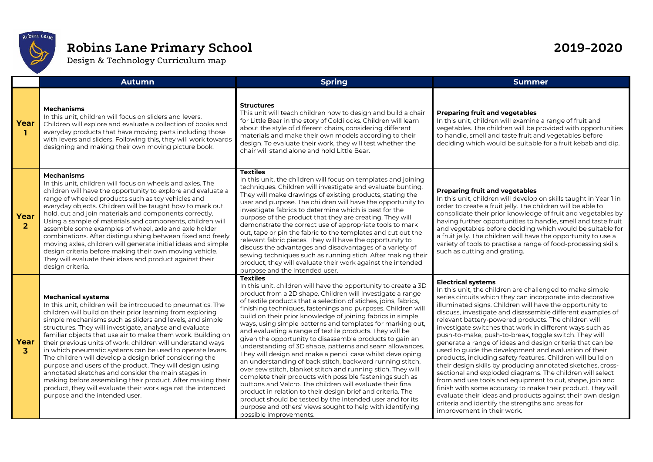

## **Robins Lane Primary School 2019-2020**

Design & Technology Curriculum map

|                        | <b>Autumn</b>                                                                                                                                                                                                                                                                                                                                                                                                                                                                                                                                                                                                                                                                                                                                                                                                           | <b>Spring</b>                                                                                                                                                                                                                                                                                                                                                                                                                                                                                                                                                                                                                                                                                                                                                                                                                                                                                                                                                                                                                                                                                                                                | <b>Summer</b>                                                                                                                                                                                                                                                                                                                                                                                                                                                                                                                                                                                                                                                                                                                                                                                                                                                                                                                                                                                                                                          |  |  |  |
|------------------------|-------------------------------------------------------------------------------------------------------------------------------------------------------------------------------------------------------------------------------------------------------------------------------------------------------------------------------------------------------------------------------------------------------------------------------------------------------------------------------------------------------------------------------------------------------------------------------------------------------------------------------------------------------------------------------------------------------------------------------------------------------------------------------------------------------------------------|----------------------------------------------------------------------------------------------------------------------------------------------------------------------------------------------------------------------------------------------------------------------------------------------------------------------------------------------------------------------------------------------------------------------------------------------------------------------------------------------------------------------------------------------------------------------------------------------------------------------------------------------------------------------------------------------------------------------------------------------------------------------------------------------------------------------------------------------------------------------------------------------------------------------------------------------------------------------------------------------------------------------------------------------------------------------------------------------------------------------------------------------|--------------------------------------------------------------------------------------------------------------------------------------------------------------------------------------------------------------------------------------------------------------------------------------------------------------------------------------------------------------------------------------------------------------------------------------------------------------------------------------------------------------------------------------------------------------------------------------------------------------------------------------------------------------------------------------------------------------------------------------------------------------------------------------------------------------------------------------------------------------------------------------------------------------------------------------------------------------------------------------------------------------------------------------------------------|--|--|--|
| Year<br>L.             | <b>Mechanisms</b><br>In this unit, children will focus on sliders and levers.<br>Children will explore and evaluate a collection of books and<br>everyday products that have moving parts including those<br>with levers and sliders. Following this, they will work towards<br>designing and making their own moving picture book.                                                                                                                                                                                                                                                                                                                                                                                                                                                                                     | <b>Structures</b><br>This unit will teach children how to design and build a chair<br>for Little Bear in the story of Goldilocks. Children will learn<br>about the style of different chairs, considering different<br>materials and make their own models according to their<br>design. To evaluate their work, they will test whether the<br>chair will stand alone and hold Little Bear.                                                                                                                                                                                                                                                                                                                                                                                                                                                                                                                                                                                                                                                                                                                                                  | <b>Preparing fruit and vegetables</b><br>In this unit, children will examine a range of fruit and<br>vegetables. The children will be provided with opportunities<br>to handle, smell and taste fruit and vegetables before<br>deciding which would be suitable for a fruit kebab and dip.                                                                                                                                                                                                                                                                                                                                                                                                                                                                                                                                                                                                                                                                                                                                                             |  |  |  |
| Year<br>$\overline{2}$ | <b>Mechanisms</b><br>In this unit, children will focus on wheels and axles. The<br>children will have the opportunity to explore and evaluate a<br>range of wheeled products such as toy vehicles and<br>everyday objects. Children will be taught how to mark out,<br>hold, cut and join materials and components correctly.<br>Using a sample of materials and components, children will<br>assemble some examples of wheel, axle and axle holder<br>combinations. After distinguishing between fixed and freely<br>moving axles, children will generate initial ideas and simple<br>design criteria before making their own moving vehicle.<br>They will evaluate their ideas and product against their<br>design criteria.                                                                                          | <b>Textiles</b><br>In this unit, the children will focus on templates and joining<br>techniques. Children will investigate and evaluate bunting.<br>They will make drawings of existing products, stating the<br>user and purpose. The children will have the opportunity to<br>investigate fabrics to determine which is best for the<br>purpose of the product that they are creating. They will<br>demonstrate the correct use of appropriate tools to mark<br>out, tape or pin the fabric to the templates and cut out the<br>relevant fabric pieces. They will have the opportunity to<br>discuss the advantages and disadvantages of a variety of<br>sewing techniques such as running stich. After making their<br>product, they will evaluate their work against the intended<br>purpose and the intended user.                                                                                                                                                                                                                                                                                                                      | <b>Preparing fruit and vegetables</b><br>In this unit, children will develop on skills taught in Year 1 in<br>order to create a fruit jelly. The children will be able to<br>consolidate their prior knowledge of fruit and vegetables by<br>having further opportunities to handle, smell and taste fruit<br>and vegetables before deciding which would be suitable for<br>a fruit jelly. The children will have the opportunity to use a<br>variety of tools to practise a range of food-processing skills<br>such as cutting and grating.                                                                                                                                                                                                                                                                                                                                                                                                                                                                                                           |  |  |  |
| Year<br>3              | <b>Mechanical systems</b><br>In this unit, children will be introduced to pneumatics. The<br>children will build on their prior learning from exploring<br>simple mechanisms such as sliders and levels, and simple<br>structures. They will investigate, analyse and evaluate<br>familiar objects that use air to make them work. Building on<br>their previous units of work, children will understand ways<br>in which pneumatic systems can be used to operate levers.<br>The children will develop a design brief considering the<br>purpose and users of the product. They will design using<br>annotated sketches and consider the main stages in<br>making before assembling their product. After making their<br>product, they will evaluate their work against the intended<br>purpose and the intended user. | <b>Textiles</b><br>In this unit, children will have the opportunity to create a 3D<br>product from a 2D shape. Children will investigate a range<br>of textile products that a selection of stiches, joins, fabrics,<br>finishing techniques, fastenings and purposes. Children will<br>build on their prior knowledge of joining fabrics in simple<br>ways, using simple patterns and templates for marking out,<br>and evaluating a range of textile products. They will be<br>given the opportunity to disassemble products to gain an<br>understanding of 3D shape, patterns and seam allowances.<br>They will design and make a pencil case whilst developing<br>an understanding of back stitch, backward running stitch,<br>over sew stitch, blanket stitch and running stich. They will<br>complete their products with possible fastenings such as<br>buttons and Velcro. The children will evaluate their final<br>product in relation to their design brief and criteria. The<br>product should be tested by the intended user and for its<br>purpose and others' views sought to help with identifying<br>possible improvements. | <b>Electrical systems</b><br>In this unit, the children are challenged to make simple<br>series circuits which they can incorporate into decorative<br>illuminated signs. Children will have the opportunity to<br>discuss, investigate and disassemble different examples of<br>relevant battery-powered products. The children will<br>investigate switches that work in different ways such as<br>push-to-make, push-to-break, toggle switch. They will<br>generate a range of ideas and design criteria that can be<br>used to quide the development and evaluation of their<br>products, including safety features. Children will build on<br>their design skills by producing annotated sketches, cross-<br>sectional and exploded diagrams. The children will select<br>from and use tools and equipment to cut, shape, join and<br>finish with some accuracy to make their product. They will<br>evaluate their ideas and products against their own design<br>criteria and identify the strengths and areas for<br>improvement in their work. |  |  |  |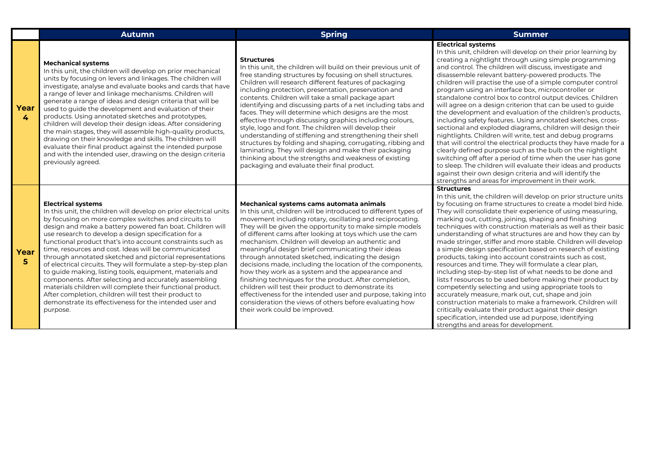|                        | <b>Autumn</b>                                                                                                                                                                                                                                                                                                                                                                                                                                                                                                                                                                                                                                                                                                                                                                                                                                       | <b>Spring</b>                                                                                                                                                                                                                                                                                                                                                                                                                                                                                                                                                                                                                                                                                                                                                                                                                                                        | <b>Summer</b>                                                                                                                                                                                                                                                                                                                                                                                                                                                                                                                                                                                                                                                                                                                                                                                                                                                                                                                                                                                                                                                                                                                                                     |
|------------------------|-----------------------------------------------------------------------------------------------------------------------------------------------------------------------------------------------------------------------------------------------------------------------------------------------------------------------------------------------------------------------------------------------------------------------------------------------------------------------------------------------------------------------------------------------------------------------------------------------------------------------------------------------------------------------------------------------------------------------------------------------------------------------------------------------------------------------------------------------------|----------------------------------------------------------------------------------------------------------------------------------------------------------------------------------------------------------------------------------------------------------------------------------------------------------------------------------------------------------------------------------------------------------------------------------------------------------------------------------------------------------------------------------------------------------------------------------------------------------------------------------------------------------------------------------------------------------------------------------------------------------------------------------------------------------------------------------------------------------------------|-------------------------------------------------------------------------------------------------------------------------------------------------------------------------------------------------------------------------------------------------------------------------------------------------------------------------------------------------------------------------------------------------------------------------------------------------------------------------------------------------------------------------------------------------------------------------------------------------------------------------------------------------------------------------------------------------------------------------------------------------------------------------------------------------------------------------------------------------------------------------------------------------------------------------------------------------------------------------------------------------------------------------------------------------------------------------------------------------------------------------------------------------------------------|
| Year<br>$\overline{4}$ | <b>Mechanical systems</b><br>In this unit, the children will develop on prior mechanical<br>units by focusing on levers and linkages. The children will<br>investigate, analyse and evaluate books and cards that have<br>a range of lever and linkage mechanisms. Children will<br>generate a range of ideas and design criteria that will be<br>used to guide the development and evaluation of their<br>products. Using annotated sketches and prototypes,<br>children will develop their design ideas. After considering<br>the main stages, they will assemble high-quality products,<br>drawing on their knowledge and skills. The children will<br>evaluate their final product against the intended purpose<br>and with the intended user, drawing on the design criteria<br>previously agreed.                                             | <b>Structures</b><br>In this unit, the children will build on their previous unit of<br>free standing structures by focusing on shell structures.<br>Children will research different features of packaging<br>including protection, presentation, preservation and<br>contents. Children will take a small package apart<br>identifying and discussing parts of a net including tabs and<br>faces. They will determine which designs are the most<br>effective through discussing graphics including colours,<br>style, logo and font. The children will develop their<br>understanding of stiffening and strengthening their shell<br>structures by folding and shaping, corrugating, ribbing and<br>laminating. They will design and make their packaging<br>thinking about the strengths and weakness of existing<br>packaging and evaluate their final product. | <b>Electrical systems</b><br>In this unit, children will develop on their prior learning by<br>creating a nightlight through using simple programming<br>and control. The children will discuss, investigate and<br>disassemble relevant battery-powered products. The<br>children will practise the use of a simple computer control<br>program using an interface box, microcontroller or<br>standalone control box to control output devices. Children<br>will agree on a design criterion that can be used to guide<br>the development and evaluation of the children's products,<br>including safety features. Using annotated sketches, cross-<br>sectional and exploded diagrams, children will design their<br>nightlights. Children will write, test and debug programs<br>that will control the electrical products they have made for a<br>clearly defined purpose such as the bulb on the nightlight<br>switching off after a period of time when the user has gone<br>to sleep. The children will evaluate their ideas and products<br>against their own design criteria and will identify the<br>strengths and areas for improvement in their work. |
| Year<br>5              | <b>Electrical systems</b><br>In this unit, the children will develop on prior electrical units<br>by focusing on more complex switches and circuits to<br>design and make a battery powered fan boat. Children will<br>use research to develop a design specification for a<br>functional product that's into account constraints such as<br>time, resources and cost. Ideas will be communicated<br>through annotated sketched and pictorial representations<br>of electrical circuits. They will formulate a step-by-step plan<br>to quide making, listing tools, equipment, materials and<br>components. After selecting and accurately assembling<br>materials children will complete their functional product.<br>After completion, children will test their product to<br>demonstrate its effectiveness for the intended user and<br>purpose. | Mechanical systems cams automata animals<br>In this unit, children will be introduced to different types of<br>movement including rotary, oscillating and reciprocating.<br>They will be given the opportunity to make simple models<br>of different cams after looking at toys which use the cam<br>mechanism. Children will develop an authentic and<br>meaningful design brief communicating their ideas<br>through annotated sketched, indicating the design<br>decisions made, including the location of the components,<br>how they work as a system and the appearance and<br>finishing techniques for the product. After completion,<br>children will test their product to demonstrate its<br>effectiveness for the intended user and purpose, taking into<br>consideration the views of others before evaluating how<br>their work could be improved.      | <b>Structures</b><br>In this unit, the children will develop on prior structure units<br>by focusing on frame structures to create a model bird hide.<br>They will consolidate their experience of using measuring,<br>marking out, cutting, joining, shaping and finishing<br>techniques with construction materials as well as their basic<br>understanding of what structures are and how they can by<br>made stringer, stiffer and more stable. Children will develop<br>a simple design specification based on research of existing<br>products, taking into account constraints such as cost,<br>resources and time. They will formulate a clear plan,<br>including step-by-step list of what needs to be done and<br>lists f resources to be used before making their product by<br>competently selecting and using appropriate tools to<br>accurately measure, mark out, cut, shape and join<br>construction materials to make a framework. Children will<br>critically evaluate their product against their design<br>specification, intended use ad purpose, identifying<br>strengths and areas for development.                                        |

Ш